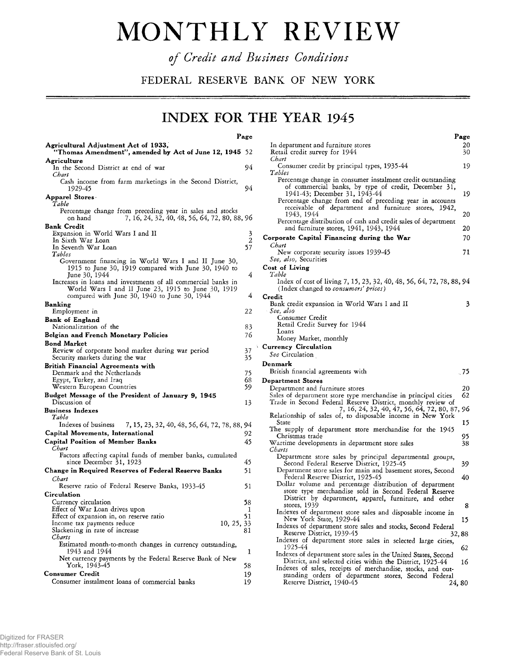## **MONTHLY REVIEW**

*of Credit and Business Conditions*

**FEDERAL RESERVE BANK OF NEW YORK**

## **INDEX FOR THE YEAR 1945**

**Page**

| Agricultural Adjustment Act of 1933,<br>"Thomas Amendment", amended by Act of June 12, 1945                                                                         | 52                  |
|---------------------------------------------------------------------------------------------------------------------------------------------------------------------|---------------------|
| Agriculture<br>In the Second District at end of war<br>Chart                                                                                                        | 94                  |
| Cash income from farm marketings in the Second District,<br>1929-45                                                                                                 | 94                  |
| Apparel Stores:<br>Table                                                                                                                                            |                     |
| Percentage change from preceding year in sales and stocks<br>7, 16, 24, 32, 40, 48, 56, 64, 72, 80, 88, 96<br>on hand                                               |                     |
| <b>Bank Credit</b>                                                                                                                                                  |                     |
| Expansion in World Wars I and II<br>In Sixth War Loan<br>In Seventh War Loan                                                                                        | $\frac{3}{2}$<br>57 |
| Tables<br>Government financing in World Wars I and II June 30,<br>1915 to June 30, 1919 compared with June 30, 1940 to<br>June 30, 1944                             | 4                   |
| Increases in loans and investments of all commercial banks in<br>World Wars I and II June 23, 1915 to June 30, 1919<br>compared with June 30, 1940 to June 30, 1944 | 4                   |
| Banking                                                                                                                                                             | 22                  |
| Employment in<br><b>Bank of England</b>                                                                                                                             |                     |
| Nationalization of the                                                                                                                                              | 83                  |
| Belgian and French Monetary Policies                                                                                                                                | 76                  |
| <b>Bond Market</b><br>Review of corporate bond market during war period<br>Security markets during the war                                                          | 37<br>35            |
| <b>British Financial Agreements with</b><br>Denmark and the Netherlands<br>Egypt, Turkey, and Iraq<br>Western European Countries                                    | 75<br>68<br>59      |
| Budget Message of the President of January 9, 1945<br>Discussion of                                                                                                 | 13                  |
| <b>Business Indexes</b><br>Table                                                                                                                                    |                     |
| Indexes of business<br>7, 15, 23, 32, 40, 48, 56, 64, 72, 78, 88, 94                                                                                                |                     |
| Capital Movements, International<br><b>Capital Position of Member Banks</b><br>Chart                                                                                | 92<br>45            |
| Factors affecting capital funds of member banks, cumulated<br>since December 31, 1923                                                                               | 45                  |
| Change in Required Reserves of Federal Reserve Banks<br>Chart                                                                                                       | 51                  |
| Reserve ratio of Federal Reserve Banks, 1933-45                                                                                                                     | 51                  |
| Circulation                                                                                                                                                         |                     |
| Currency circulation<br>Effect of War Loan drives upon<br>Effect of expansion in, on reserve ratio<br>Income tax payments reduce<br>10, 25, 33                      | 58<br>1<br>51       |
| Slackening in rate of increase<br>Charts                                                                                                                            | 81                  |
| Estimated month-to-month changes in currency outstanding,<br>1943 and 1944                                                                                          | 1                   |
| Net currency payments by the Federal Reserve Bank of New<br>York, 1943-45                                                                                           | 58                  |
| Consumer Credit<br>Consumer instalment loans of commercial banks                                                                                                    | 19<br>19            |

|                                                                                                      | , age |
|------------------------------------------------------------------------------------------------------|-------|
| In department and furniture stores                                                                   | 20    |
| Retail credit survey for 1944                                                                        | 30    |
| Chart                                                                                                |       |
| Consumer credit by principal types, 1935-44                                                          | 19    |
| Tables                                                                                               |       |
| Percentage change in consumer instalment credit outstanding                                          |       |
| of commercial banks, by type of credit, December 31,                                                 |       |
| 1941-43; December 31, 1943-44                                                                        | 19    |
| Percentage change from end of preceding year in accounts                                             |       |
| receivable of department and furniture stores, 1942,                                                 |       |
| 1943, 1944                                                                                           | 20    |
| Percentage distribution of cash and credit sales of department                                       |       |
| and furniture stores, 1941, 1943, 1944                                                               | 20    |
|                                                                                                      |       |
| Corporate Capital Financing during the War                                                           | 70    |
| Chart                                                                                                |       |
| New corporate security issues 1939-45                                                                | 71    |
| See, also, Securities                                                                                |       |
| Cost of Living                                                                                       |       |
| Table                                                                                                |       |
| Index of cost of living 7, 15, 23, 32, 40, 48, 56, 64, 72, 78, 88, 94                                |       |
|                                                                                                      |       |
| (Index changed to <i>consumers' prices</i> )                                                         |       |
| Credit                                                                                               |       |
| Bank credit expansion in World Wars I and II                                                         | 3     |
| See, also                                                                                            |       |
| Consumer Credit                                                                                      |       |
| Retail Credit Survey for 1944                                                                        |       |
| Loans                                                                                                |       |
| Money Market, monthly                                                                                |       |
| <b>Currency Circulation</b>                                                                          |       |
|                                                                                                      |       |
|                                                                                                      |       |
| See Circulation                                                                                      |       |
| Denmark                                                                                              |       |
|                                                                                                      | .75   |
| British financial agreements with                                                                    |       |
| Department Stores                                                                                    |       |
| Department and furniture stores                                                                      | 20    |
| Sales of department store type merchandise in principal cities                                       | 62    |
| Trade in Second Federal Reserve District, monthly review of                                          |       |
| 7, 16, 24, 32, 40, 47, 56, 64, 72, 80, 87, 96                                                        |       |
| Relationship of sales of, to disposable income in New York                                           |       |
| State                                                                                                | 15    |
| The supply of department store merchandise for the 1945                                              |       |
| Christmas trade                                                                                      | 95    |
| Wartime developments in department store sales                                                       | 38    |
| Charts                                                                                               |       |
|                                                                                                      |       |
| Department store sales by principal departmental groups,<br>Second Federal Reserve District, 1925-45 | 39    |
| Department store sales for main and basement stores, Second                                          |       |
|                                                                                                      |       |
| Federal Reserve District, 1925-45                                                                    | 40    |
| Dollar volume and percentage distribution of department                                              |       |
| store type merchandise sold in Second Federal Reserve                                                |       |
| District by department, apparel, furniture, and other                                                |       |
| stores, 1939                                                                                         | 8     |
| Indexes of department store sales and disposable income in                                           |       |
| New York State, 1929-44                                                                              | 15    |
| Indexes of department store sales and stocks, Second Federal                                         |       |
| Reserve District, 1939-45                                                                            | 32,88 |
| Indexes of department store sales in selected large cities,                                          |       |
| 1925-44                                                                                              | 62    |
| Indexes of department store sales in the United States, Second                                       |       |
| District, and selected cities within the District, 1925-44                                           | 16    |
| Indexes of sales, receipts of merchandise, stocks, and out-                                          |       |
| standing orders of department stores, Second Federal<br>Reserve District, 1940-45                    | 24,80 |

**Page**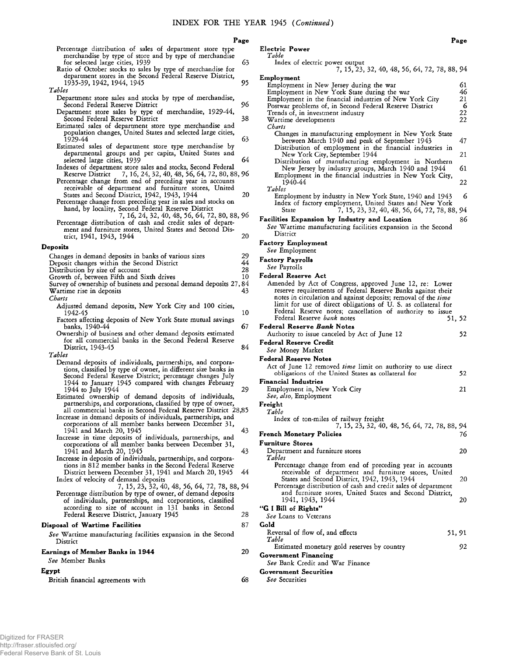|                                                                                                                                                                                         | Page     |
|-----------------------------------------------------------------------------------------------------------------------------------------------------------------------------------------|----------|
| Percentage distribution of sales of department store type                                                                                                                               |          |
| merchandise by type of store and by type of merchandise<br>for selected large cities, 1939<br>Ratio of October stocks to sales by type of merchandise for                               | 63       |
| department stores in the Second Federal Reserve District,<br>1935-39, 1942, 1944, 1945<br>Tables                                                                                        | 95       |
| Department store sales and stocks by type of merchandise,                                                                                                                               |          |
| Second Federal Reserve District<br>Department store sales by type of merchandise, 1929-44,                                                                                              | 96       |
| Second Federal Reserve District<br>Estimated sales of department store type merchandise and                                                                                             | 38       |
| population changes, United States and selected large cities,<br>1929-44<br>Estimated sales of department store type merchandise by                                                      | 63       |
| departmental groups and per capita, United States and                                                                                                                                   | 64       |
| selected large cities, 1939<br>Indexes of department store sales and stocks, Second Federal                                                                                             |          |
| 7, 16, 24, 32, 40, 48, 56, 64, 72, 80, 88, 96<br>Reserve District<br>Percentage change from end of preceding year in accounts<br>receivable of department and furniture stores, United  |          |
| States and Second District, 1942, 1943, 1944                                                                                                                                            | 20       |
| Percentage change from preceding year in sales and stocks on<br>hand, by locality, Second Federal Reserve District<br>7, 16, 24, 32, 40, 48, 56, 64, 72, 80, 88, 96                     |          |
| Percentage distribution of cash and credit sales of depart-<br>ment and furniture stores, United States and Second Dis-                                                                 |          |
| trict, 1941, 1943, 1944                                                                                                                                                                 | 20       |
| Deposits                                                                                                                                                                                |          |
| Changes in demand deposits in banks of various sizes<br>Deposit changes within the Second District                                                                                      | 29<br>44 |
| Distribution by size of account                                                                                                                                                         | 28       |
| Growth of, between Fifth and Sixth drives<br>Survey of ownership of business and personal demand deposits 27, 84                                                                        | 10       |
| Wartime rise in deposits<br>Charts                                                                                                                                                      | 43       |
| Adjusted demand deposits, New York City and 100 cities,<br>1942-45<br>Factors affecting deposits of New York State mutual savings                                                       | 10       |
| banks, 1940-44<br>Ownership of business and other demand deposits estimated                                                                                                             | 67       |
| for all commercial banks in the Second Federal Reserve<br>District, 1943-45                                                                                                             | 84       |
| Tables<br>Demand deposits of individuals, partnerships, and corpora-                                                                                                                    |          |
| tions, classified by type of owner, in different size banks in<br>Second Federal Reserve District; percentage changes July<br>1944 to January 1945 compared with changes February       |          |
| 1944 to July 1944                                                                                                                                                                       | 29       |
| Estimated ownership of demand deposits of individuals,<br>partnerships, and corporations, classified by type of owner,<br>all commercial banks in Second Federal Reserve District 28,85 |          |
| Increase in demand deposits of individuals, partnerships, and<br>corporations of all member banks between December 31,                                                                  |          |
| 1941 and March 20, 1945<br>Increase in time deposits of individuals, partnerships, and<br>corporations of all member banks between December 31,                                         | 43       |
| 1941 and March 20, 1945                                                                                                                                                                 | 43       |
| Increase in deposits of individuals, partnerships, and corpora-<br>tions in 812 member banks in the Second Federal Reserve<br>District between December 31, 1941 and March 20, 1945     | 44       |
| Index of velocity of demand deposits<br>7, 15, 23, 32, 40, 48, 56, 64, 72, 78, 88, 94                                                                                                   |          |
| Percentage distribution by type of owner, of demand deposits<br>of individuals, partnerships, and corporations, classified<br>according to size of account in 131 banks in Second       |          |
| Federal Reserve District, January 1945                                                                                                                                                  | 28       |
| Disposal of Wartime Facilities<br>See Wartime manufacturing facilities expansion in the Second<br>District                                                                              | 87       |
| <b>Earnings of Member Banks in 1944</b><br><i>See</i> Member Banks                                                                                                                      | 20       |
| Egypt                                                                                                                                                                                   |          |
| British financial agreements with                                                                                                                                                       | 68       |

| Electric Power       |  |
|----------------------|--|
| Table                |  |
| Index of electric po |  |

| Index of electric power output                                                                                                                                                                                                                                                                                                                                                                      |                                 |
|-----------------------------------------------------------------------------------------------------------------------------------------------------------------------------------------------------------------------------------------------------------------------------------------------------------------------------------------------------------------------------------------------------|---------------------------------|
| 7, 15, 23, 32, 40, 48, 56, 64, 72, 78, 88, 94                                                                                                                                                                                                                                                                                                                                                       |                                 |
| Employment<br>Employment in New Jersey during the war<br>Employment in New York State during the war<br>Employment in the financial industries of New York City<br>Postwar problems of, in Second Federal Reserve District<br>Trends of, in investment industry<br>Wartime developments<br>Charts                                                                                                   | 61<br>46<br>21<br>6<br>22<br>22 |
| Changes in manufacturing employment in New York State<br>between March 1940 and peak of September 1943<br>Distribution of employment in the financial industries in<br>New York City, September 1944<br>Distribution of manufacturing employment in Northern<br>New Jersey by industry groups, March 1940 and 1944<br>Employment in the financial industries in New York City,<br>1940-44<br>Tables | 47<br>21<br>61<br>22            |
| Employment by industry in New York State, 1940 and 1943<br>Index of factory employment, United States and New York<br>7, 15, 23, 32, 40, 48, 56, 64, 72, 78, 88, 94<br>State                                                                                                                                                                                                                        | 6                               |
| Facilities Expansion by Industry and Location<br>See Wartime manufacturing facilities expansion in the Second<br>District                                                                                                                                                                                                                                                                           | 86                              |
| <b>Factory Employment</b><br>See Employment                                                                                                                                                                                                                                                                                                                                                         |                                 |
| <b>Factory Payrolls</b><br><i>See</i> Payrolls                                                                                                                                                                                                                                                                                                                                                      |                                 |
| Federal Reserve Act                                                                                                                                                                                                                                                                                                                                                                                 |                                 |
| Amended by Act of Congress, approved June 12, re: Lower<br>reserve requirements of Federal Reserve Banks against their<br>notes in circulation and against deposits; removal of the time<br>limit for use of direct obligations of U.S. as collateral for<br>Federal Reserve notes; cancellation of authority to issue<br>Federal Reserve <i>bank</i> notes                                         | 51, 52                          |
| <b>Federal Reserve Bank Notes</b><br>Authority to issue canceled by Act of June 12                                                                                                                                                                                                                                                                                                                  | 52                              |
| <b>Federal Reserve Credit</b><br>See Money Market                                                                                                                                                                                                                                                                                                                                                   |                                 |
| <b>Federal Reserve Notes</b><br>Act of June 12 removed time limit on authority to use direct<br>obligations of the United States as collateral for                                                                                                                                                                                                                                                  | 52                              |
| <b>Financial Industries</b>                                                                                                                                                                                                                                                                                                                                                                         |                                 |
| Employment in, New York City<br>See, also, Employment<br>Freight                                                                                                                                                                                                                                                                                                                                    | 21                              |
| Table                                                                                                                                                                                                                                                                                                                                                                                               |                                 |
| Index of ton-miles of railway freight<br>7, 15, 23, 32, 40, 48, 56, 64, 72, 78, 88, 94                                                                                                                                                                                                                                                                                                              |                                 |
| French Monetary Policies                                                                                                                                                                                                                                                                                                                                                                            | 76                              |
| <b>Furniture Stores</b><br>Department and furniture stores<br>Tables                                                                                                                                                                                                                                                                                                                                | 20                              |
| Percentage change from end of preceding year in accounts<br>receivable of department and furniture stores, United<br>States and Second District, 1942, 1943, 1944<br>Percentage distribution of cash and credit sales of department<br>and furniture stores, United States and Second District,                                                                                                     | 20                              |
| 1941, 1943, 1944<br>"G I Bill of Rights"                                                                                                                                                                                                                                                                                                                                                            | 20                              |
| See Loans to Veterans                                                                                                                                                                                                                                                                                                                                                                               |                                 |
| Gold<br>Reversal of flow of, and effects                                                                                                                                                                                                                                                                                                                                                            |                                 |
| Table<br>Estimated monetary gold reserves by country                                                                                                                                                                                                                                                                                                                                                | 51, 91<br>92                    |
|                                                                                                                                                                                                                                                                                                                                                                                                     |                                 |
| <b>Government Financing</b>                                                                                                                                                                                                                                                                                                                                                                         |                                 |
| See Bank Credit and War Finance<br><b>Government Securities</b>                                                                                                                                                                                                                                                                                                                                     |                                 |

*S ee* Securities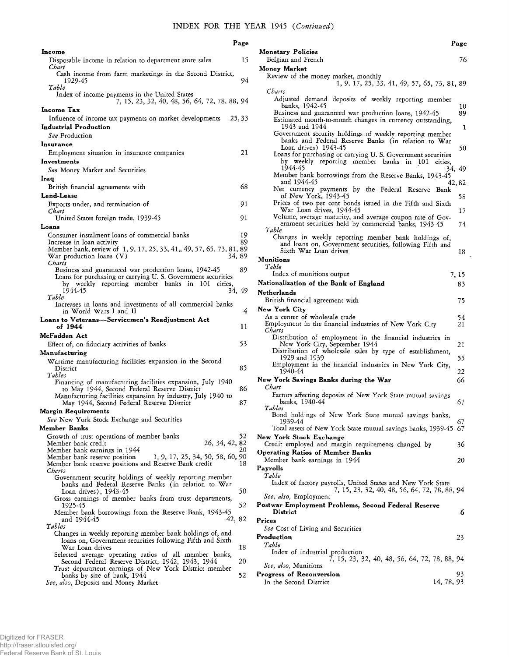**Monetary Policies**

|                                                                                                                                           | Page     |
|-------------------------------------------------------------------------------------------------------------------------------------------|----------|
| Income                                                                                                                                    |          |
| Disposable income in relation to department store sales<br>Chart<br>Cash income from farm marketings in the Second District,              | 15       |
| 1929-45<br>Table                                                                                                                          | 94       |
| Index of income payments in the United States<br>7, 15, 23, 32, 40, 48, 56, 64, 72, 78, 88, 94                                            |          |
| Income Tax                                                                                                                                |          |
| Influence of income tax payments on market developments<br>Industrial Production                                                          | 25, 33   |
| See Production                                                                                                                            |          |
| Insurance                                                                                                                                 | 21       |
| Employment situation in insurance companies<br>Investments                                                                                |          |
| See Money Market and Securities                                                                                                           |          |
| Iraq                                                                                                                                      |          |
| British financial agreements with                                                                                                         | 68       |
| Lend-Lease<br>Exports under, and termination of                                                                                           | 91       |
| Chart                                                                                                                                     |          |
| United States foreign trade, 1939-45                                                                                                      | 91       |
| Loans                                                                                                                                     |          |
| Consumer instalment loans of commercial banks<br>Increase in loan activity                                                                | 19<br>89 |
| Member bank, review of 1, 9, 17, 25, 33, 41,, 49, 57, 65, 73, 81, 89                                                                      |          |
| War production loans (V)<br>34, 89<br>Charts                                                                                              |          |
| Business and guaranteed war production loans, 1942-45<br>Loans for purchasing or carrying U.S. Government securities                      | 89       |
| by weekly reporting member banks in<br>101<br>cities.                                                                                     |          |
| 1944-45<br>34.49<br>Table                                                                                                                 |          |
| Increases in loans and investments of all commercial banks<br>in World Wars I and II                                                      | 4        |
| Loans to Veterans--Servicemen's Readjustment Act<br>of 1944                                                                               | 11       |
| McFadden Act                                                                                                                              |          |
| Effect of, on fiduciary activities of banks                                                                                               | 53       |
| Manufacturing                                                                                                                             |          |
| Wartime manufacturing facilities expansion in the Second<br>District                                                                      | 85       |
| Tables<br>Financing of manufacturing facilities expansion, July 1940                                                                      |          |
| to May 1944, Second Federal Reserve District                                                                                              | 86       |
| Manufacturing facilities expansion by industry, July 1940 to                                                                              | 87       |
| May 1944, Second Federal Reserve District<br>Margin Requirements                                                                          |          |
|                                                                                                                                           |          |
| See New York Stock Exchange and Securities                                                                                                |          |
| Member Banks                                                                                                                              |          |
| Growth of trust operations of member banks                                                                                                | 52       |
| 26, 34, 42, 82<br>Member bank credit                                                                                                      | 20       |
| Member bank earnings in 1944<br>1, 9, 17, 25, 34, 50, 58, 60, 90<br>Member bank reserve position                                          |          |
| Member bank reserve positions and Reserve Bank credit                                                                                     | 18       |
| Charts<br>Government security holdings of weekly reporting member<br>banks and Federal Reserve Banks (in relation to War                  |          |
| Loan drives), 1943-45                                                                                                                     | 50       |
| Gross earnings of member banks from trust departments,<br>1925-45                                                                         | 52       |
| Member bank borrowings from the Reserve Bank, 1943-45<br>42, 82<br>and 1944-45                                                            |          |
| Tables                                                                                                                                    |          |
| Changes in weekly reporting member bank holdings of, and<br>loans on, Government securities following Fifth and Sixth                     |          |
| War Loan drives                                                                                                                           | 18       |
| Selected average operating ratios of all member banks,                                                                                    | 20       |
| Second Federal Reserve District, 1942, 1943, 1944<br>Trust department earnings of New York District member<br>banks by size of bank, 1944 | 52       |

|                    | rage |
|--------------------|------|
| ionetary Policies  |      |
| Belgian and French | 76   |

**Page**

| Money Market                                                                                                                          |          |
|---------------------------------------------------------------------------------------------------------------------------------------|----------|
| Review of the money market, monthly                                                                                                   |          |
| 1, 9, 17, 25, 33, 41, 49, 57, 65, 73, 81, 89<br>Charts                                                                                |          |
| Adjusted demand deposits of weekly reporting member<br>banks, 1942-45                                                                 | 10       |
| Business and guaranteed war production loans, 1942-45                                                                                 | 89       |
| Estimated month-to-month changes in currency outstanding,<br>1943 and 1944                                                            | 1        |
| Government security holdings of weekly reporting member<br>banks and Federal Reserve Banks (in relation to War                        |          |
| Loan drives) 1943-45<br>Loans for purchasing or carrying U.S. Government securities                                                   | 50       |
| by weekly reporting member banks<br>- 101<br>in<br>cities,<br>1944-45                                                                 | 34, 49   |
| Member bank borrowings from the Reserve Banks, 1943-45<br>and 1944-45<br>Net currency payments by the Federal Reserve<br>Bank         | 42,82    |
| of New York, 1943-45                                                                                                                  | 58       |
| Prices of two per cent bonds issued in the Fifth and Sixth<br>War Loan drives, 1944-45                                                | 17       |
| Volume, average maturity, and average coupon rate of Gov-<br>ernment securities held by commercial banks, 1943-45                     | 74       |
| Table<br>Changes in weekly reporting member bank holdings of,                                                                         |          |
| and loans on, Government securities, following Fifth and<br>Sixth War Loan drives                                                     | 18       |
| Munitions<br>Table                                                                                                                    |          |
| Index of munitions output                                                                                                             | 7, 15    |
| Nationalization of the Bank of England                                                                                                | 83       |
| <b>Netherlands</b>                                                                                                                    |          |
| British financial agreement with                                                                                                      | 75       |
| New York City                                                                                                                         |          |
| As a center of wholesale trade<br>Employment in the financial industries of New York City<br>Charts                                   | 54<br>21 |
| Distribution of employment in the financial industries in                                                                             |          |
| New York City, September 1944<br>Distribution of wholesale sales by type of establishment,<br>1929 and 1939                           | 21<br>55 |
| Employment in the financial industries in New York City,<br>1940-44                                                                   | 22       |
| New York Savings Banks during the War                                                                                                 | 66       |
| Chart<br>Factors affecting deposits of New York State mutual savings<br>banks, 1940-44                                                | 67       |
| Tables<br>Bond holdings of New York State mutual savings banks,                                                                       |          |
| 1939-44<br>Total assets of New York State mutual savings banks, 1939-45 67                                                            | 67       |
| New York Stock Exchange<br>Credit employed and margin requirements changed by                                                         | 36       |
| <b>Operating Ratios of Member Banks</b>                                                                                               |          |
| Member bank earnings in 1944<br>Payrolls                                                                                              | 20       |
| Table                                                                                                                                 |          |
| Index of factory payrolls, United States and New York State<br>7, 15, 23, 32, 40, 48, 56, 64, 72, 78, 88, 94<br>See, also, Employment |          |
| Postwar Employment Problems, Second Federal Reserve<br>District                                                                       | 6        |
| Prices                                                                                                                                |          |
| See Cost of Living and Securities                                                                                                     |          |
| Production<br>Table                                                                                                                   | 23       |
| Index of industrial production<br>7, 15, 23, 32, 40, 48, 56, 64, 72, 78, 88, 94                                                       |          |
| See, also, Munitions                                                                                                                  |          |
| Progress of Reconversion<br>In the Second District<br>14, 78, 93                                                                      | 93       |
|                                                                                                                                       |          |
|                                                                                                                                       |          |